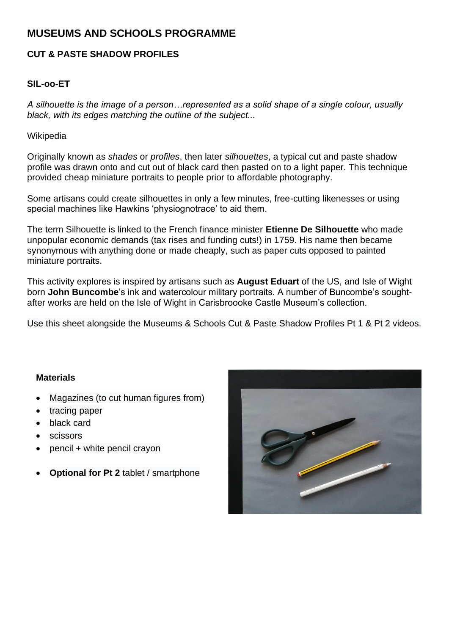# **MUSEUMS AND SCHOOLS PROGRAMME**

## **CUT & PASTE SHADOW PROFILES**

## **SIL-oo-ET**

*A silhouette is the image of a person…represented as a solid shape of a single colour, usually black, with its edges matching the outline of the subject...*

#### Wikipedia

Originally known as *shades* or *profiles*, then later *silhouettes*, a typical cut and paste shadow profile was drawn onto and cut out of black card then pasted on to a light paper. This technique provided cheap miniature portraits to people prior to affordable photography.

Some artisans could create silhouettes in only a few minutes, free-cutting likenesses or using special machines like Hawkins 'physiognotrace' to aid them.

The term Silhouette is linked to the French finance minister **Etienne De Silhouette** who made unpopular economic demands (tax rises and funding cuts!) in 1759. His name then became synonymous with anything done or made cheaply, such as paper cuts opposed to painted miniature portraits.

This activity explores is inspired by artisans such as **August Eduart** of the US, and Isle of Wight born **John Buncombe**'s ink and watercolour military portraits. A number of Buncombe's soughtafter works are held on the Isle of Wight in Carisbroooke Castle Museum's collection.

Use this sheet alongside the Museums & Schools Cut & Paste Shadow Profiles Pt 1 & Pt 2 videos.

#### **Materials**

- Magazines (to cut human figures from)
- tracing paper
- black card
- scissors
- pencil + white pencil crayon
- **Optional for Pt 2** tablet / smartphone